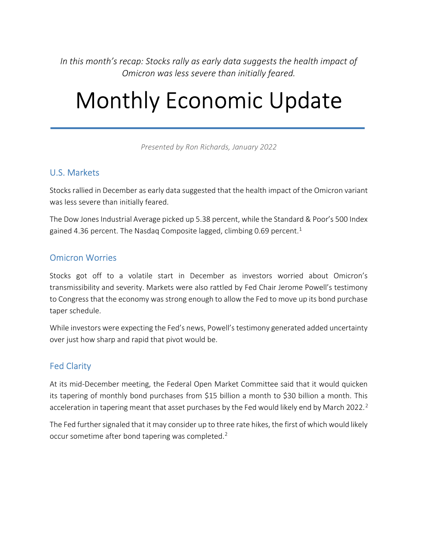In this month's recap: Stocks rally as early data suggests the health impact of Omicron was less severe than initially feared.

# Monthly Economic Update

Presented by Ron Richards, January 2022

#### U.S. Markets

Stocks rallied in December as early data suggested that the health impact of the Omicron variant was less severe than initially feared.

The Dow Jones Industrial Average picked up 5.38 percent, while the Standard & Poor's 500 Index gained 4.36 percent. The Nasdaq Composite lagged, climbing 0.69 percent.<sup>1</sup>

#### Omicron Worries

Stocks got off to a volatile start in December as investors worried about Omicron's transmissibility and severity. Markets were also rattled by Fed Chair Jerome Powell's testimony to Congress that the economy was strong enough to allow the Fed to move up its bond purchase taper schedule.

While investors were expecting the Fed's news, Powell's testimony generated added uncertainty over just how sharp and rapid that pivot would be.

## Fed Clarity

At its mid-December meeting, the Federal Open Market Committee said that it would quicken its tapering of monthly bond purchases from \$15 billion a month to \$30 billion a month. This acceleration in tapering meant that asset purchases by the Fed would likely end by March 2022.<sup>2</sup>

The Fed further signaled that it may consider up to three rate hikes, the first of which would likely occur sometime after bond tapering was completed.<sup>2</sup>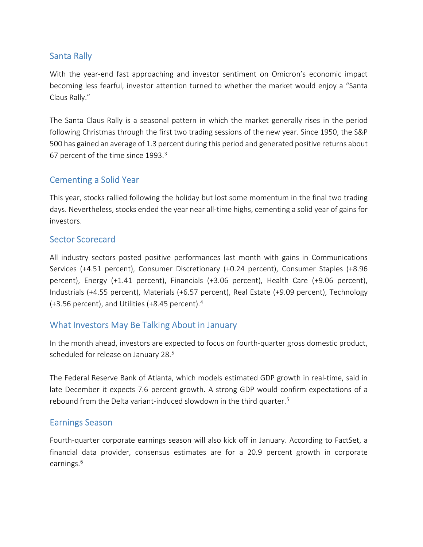## Santa Rally

With the year-end fast approaching and investor sentiment on Omicron's economic impact becoming less fearful, investor attention turned to whether the market would enjoy a "Santa Claus Rally."

The Santa Claus Rally is a seasonal pattern in which the market generally rises in the period following Christmas through the first two trading sessions of the new year. Since 1950, the S&P 500 has gained an average of 1.3 percent during this period and generated positive returns about 67 percent of the time since 1993.<sup>3</sup>

## Cementing a Solid Year

This year, stocks rallied following the holiday but lost some momentum in the final two trading days. Nevertheless, stocks ended the year near all-time highs, cementing a solid year of gains for investors.

## Sector Scorecard

All industry sectors posted positive performances last month with gains in Communications Services (+4.51 percent), Consumer Discretionary (+0.24 percent), Consumer Staples (+8.96 percent), Energy (+1.41 percent), Financials (+3.06 percent), Health Care (+9.06 percent), Industrials (+4.55 percent), Materials (+6.57 percent), Real Estate (+9.09 percent), Technology  $(+3.56$  percent), and Utilities  $(+8.45$  percent).<sup>4</sup>

## What Investors May Be Talking About in January

In the month ahead, investors are expected to focus on fourth-quarter gross domestic product, scheduled for release on January 28.<sup>5</sup>

The Federal Reserve Bank of Atlanta, which models estimated GDP growth in real-time, said in late December it expects 7.6 percent growth. A strong GDP would confirm expectations of a rebound from the Delta variant-induced slowdown in the third quarter.<sup>5</sup>

#### Earnings Season

Fourth-quarter corporate earnings season will also kick off in January. According to FactSet, a financial data provider, consensus estimates are for a 20.9 percent growth in corporate earnings.<sup>6</sup>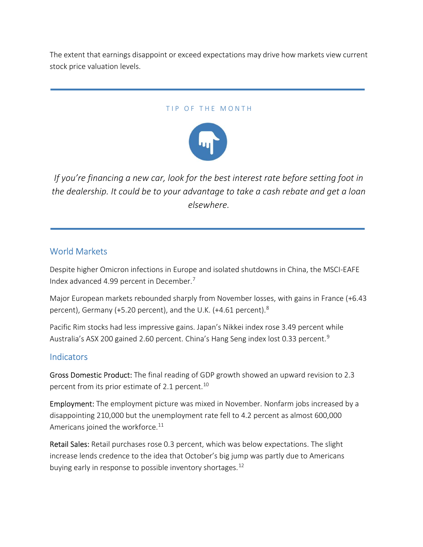The extent that earnings disappoint or exceed expectations may drive how markets view current stock price valuation levels.

#### TIP OF THE MONTH



If you're financing a new car, look for the best interest rate before setting foot in the dealership. It could be to your advantage to take a cash rebate and get a loan elsewhere.

#### World Markets

Despite higher Omicron infections in Europe and isolated shutdowns in China, the MSCI-EAFE Index advanced 4.99 percent in December.<sup>7</sup>

Major European markets rebounded sharply from November losses, with gains in France (+6.43 percent), Germany (+5.20 percent), and the U.K. (+4.61 percent).<sup>8</sup>

Pacific Rim stocks had less impressive gains. Japan's Nikkei index rose 3.49 percent while Australia's ASX 200 gained 2.60 percent. China's Hang Seng index lost 0.33 percent.<sup>9</sup>

#### Indicators

Gross Domestic Product: The final reading of GDP growth showed an upward revision to 2.3 percent from its prior estimate of 2.1 percent.<sup>10</sup>

Employment: The employment picture was mixed in November. Nonfarm jobs increased by a disappointing 210,000 but the unemployment rate fell to 4.2 percent as almost 600,000 Americans joined the workforce.<sup>11</sup>

Retail Sales: Retail purchases rose 0.3 percent, which was below expectations. The slight increase lends credence to the idea that October's big jump was partly due to Americans buying early in response to possible inventory shortages.<sup>12</sup>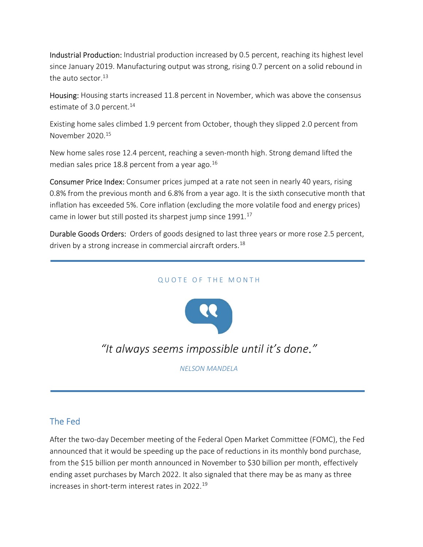Industrial Production: Industrial production increased by 0.5 percent, reaching its highest level since January 2019. Manufacturing output was strong, rising 0.7 percent on a solid rebound in the auto sector. $13$ 

Housing: Housing starts increased 11.8 percent in November, which was above the consensus estimate of 3.0 percent.<sup>14</sup>

Existing home sales climbed 1.9 percent from October, though they slipped 2.0 percent from November 2020.<sup>15</sup>

New home sales rose 12.4 percent, reaching a seven-month high. Strong demand lifted the median sales price 18.8 percent from a year ago.  $16$ 

Consumer Price Index: Consumer prices jumped at a rate not seen in nearly 40 years, rising 0.8% from the previous month and 6.8% from a year ago. It is the sixth consecutive month that inflation has exceeded 5%. Core inflation (excluding the more volatile food and energy prices) came in lower but still posted its sharpest jump since 1991.<sup>17</sup>

Durable Goods Orders: Orders of goods designed to last three years or more rose 2.5 percent, driven by a strong increase in commercial aircraft orders.<sup>18</sup>

#### QUOTE OF THE MONTH



## "It always seems impossible until it's done."

NELSON MANDELA

## The Fed

After the two-day December meeting of the Federal Open Market Committee (FOMC), the Fed announced that it would be speeding up the pace of reductions in its monthly bond purchase, from the \$15 billion per month announced in November to \$30 billion per month, effectively ending asset purchases by March 2022. It also signaled that there may be as many as three increases in short-term interest rates in 2022.<sup>19</sup>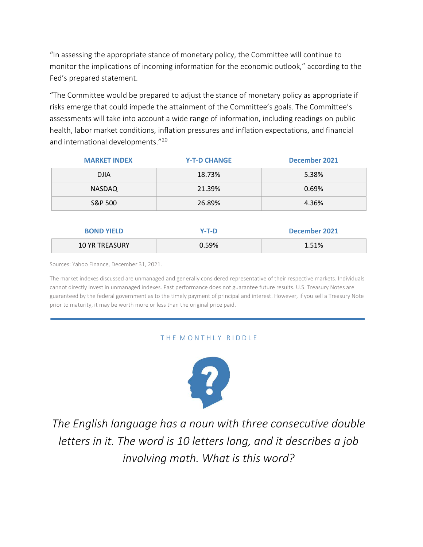"In assessing the appropriate stance of monetary policy, the Committee will continue to monitor the implications of incoming information for the economic outlook," according to the Fed's prepared statement.

"The Committee would be prepared to adjust the stance of monetary policy as appropriate if risks emerge that could impede the attainment of the Committee's goals. The Committee's assessments will take into account a wide range of information, including readings on public health, labor market conditions, inflation pressures and inflation expectations, and financial and international developments."<sup>20</sup>

| <b>MARKET INDEX</b> | <b>Y-T-D CHANGE</b> | <b>December 2021</b> |
|---------------------|---------------------|----------------------|
| <b>DJIA</b>         | 18.73%              | 5.38%                |
| <b>NASDAQ</b>       | 21.39%              | 0.69%                |
| S&P 500             | 26.89%              | 4.36%                |

| <b>BOND YIELD</b>     | Y-T-D | December 2021 |
|-----------------------|-------|---------------|
| <b>10 YR TREASURY</b> | 0.59% | 1.51%         |

Sources: Yahoo Finance, December 31, 2021.

The market indexes discussed are unmanaged and generally considered representative of their respective markets. Individuals cannot directly invest in unmanaged indexes. Past performance does not guarantee future results. U.S. Treasury Notes are guaranteed by the federal government as to the timely payment of principal and interest. However, if you sell a Treasury Note prior to maturity, it may be worth more or less than the original price paid.

#### THE MONTHLY RIDDLE



The English language has a noun with three consecutive double letters in it. The word is 10 letters long, and it describes a job involving math. What is this word?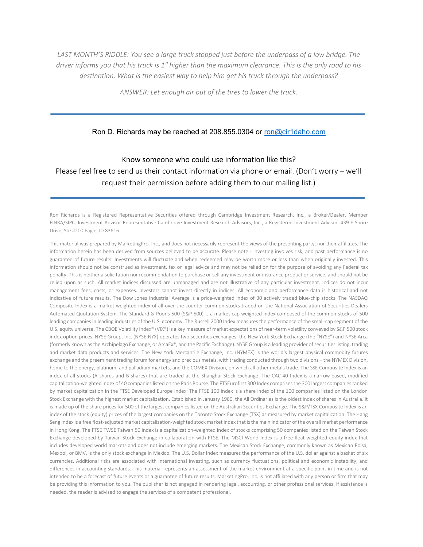LAST MONTH'S RIDDLE: You see a large truck stopped just before the underpass of a low bridge. The driver informs you that his truck is 1" higher than the maximum clearance. This is the only road to his destination. What is the easiest way to help him get his truck through the underpass?

ANSWER: Let enough air out of the tires to lower the truck.

#### Ron D. Richards may be reached at 208.855.0304 or ron@cir1daho.com

#### Know someone who could use information like this?

Please feel free to send us their contact information via phone or email. (Don't worry – we'll request their permission before adding them to our mailing list.)

Ron Richards is a Registered Representative Securities offered through Cambridge Investment Research, Inc., a Broker/Dealer, Member FINRA/SIPC. Investment Advisor Representative Cambridge Investment Research Advisors, Inc., a Registered Investment Advisor. 439 E Shore Drive, Ste #200 Eagle, ID 83616

This material was prepared by MarketingPro, Inc., and does not necessarily represent the views of the presenting party, nor their affiliates. The information herein has been derived from sources believed to be accurate. Please note - investing involves risk, and past performance is no guarantee of future results. Investments will fluctuate and when redeemed may be worth more or less than when originally invested. This information should not be construed as investment, tax or legal advice and may not be relied on for the purpose of avoiding any Federal tax penalty. This is neither a solicitation nor recommendation to purchase or sell any investment or insurance product or service, and should not be relied upon as such. All market indices discussed are unmanaged and are not illustrative of any particular investment. Indices do not incur management fees, costs, or expenses. Investors cannot invest directly in indices. All economic and performance data is historical and not indicative of future results. The Dow Jones Industrial Average is a price-weighted index of 30 actively traded blue-chip stocks. The NASDAQ Composite Index is a market-weighted index of all over-the-counter common stocks traded on the National Association of Securities Dealers Automated Quotation System. The Standard & Poor's 500 (S&P 500) is a market-cap weighted index composed of the common stocks of 500 leading companies in leading industries of the U.S. economy. The Russell 2000 Index measures the performance of the small-cap segment of the U.S. equity universe. The CBOE Volatility Index® (VIX®) is a key measure of market expectations of near-term volatility conveyed by S&P 500 stock index option prices. NYSE Group, Inc. (NYSE:NYX) operates two securities exchanges: the New York Stock Exchange (the "NYSE") and NYSE Arca (formerly known as the Archipelago Exchange, or ArcaEx®, and the Pacific Exchange). NYSE Group is a leading provider of securities listing, trading and market data products and services. The New York Mercantile Exchange, Inc. (NYMEX) is the world's largest physical commodity futures exchange and the preeminent trading forum for energy and precious metals, with trading conducted through two divisions – the NYMEX Division, home to the energy, platinum, and palladium markets, and the COMEX Division, on which all other metals trade. The SSE Composite Index is an index of all stocks (A shares and B shares) that are traded at the Shanghai Stock Exchange. The CAC-40 Index is a narrow-based, modified capitalization-weighted index of 40 companies listed on the Paris Bourse. The FTSEurofirst 300 Index comprises the 300 largest companies ranked by market capitalization in the FTSE Developed Europe Index. The FTSE 100 Index is a share index of the 100 companies listed on the London Stock Exchange with the highest market capitalization. Established in January 1980, the All Ordinaries is the oldest index of shares in Australia. It is made up of the share prices for 500 of the largest companies listed on the Australian Securities Exchange. The S&P/TSX Composite Index is an index of the stock (equity) prices of the largest companies on the Toronto Stock Exchange (TSX) as measured by market capitalization. The Hang Seng Index is a free float-adjusted market capitalization-weighted stock market index that is the main indicator of the overall market performance in Hong Kong. The FTSE TWSE Taiwan 50 Index is a capitalization-weighted index of stocks comprising 50 companies listed on the Taiwan Stock Exchange developed by Taiwan Stock Exchange in collaboration with FTSE. The MSCI World Index is a free-float weighted equity index that includes developed world markets and does not include emerging markets. The Mexican Stock Exchange, commonly known as Mexican Bolsa, Mexbol, or BMV, is the only stock exchange in Mexico. The U.S. Dollar Index measures the performance of the U.S. dollar against a basket of six currencies. Additional risks are associated with international investing, such as currency fluctuations, political and economic instability, and differences in accounting standards. This material represents an assessment of the market environment at a specific point in time and is not intended to be a forecast of future events or a guarantee of future results. MarketingPro, Inc. is not affiliated with any person or firm that may be providing this information to you. The publisher is not engaged in rendering legal, accounting, or other professional services. If assistance is needed, the reader is advised to engage the services of a competent professional.